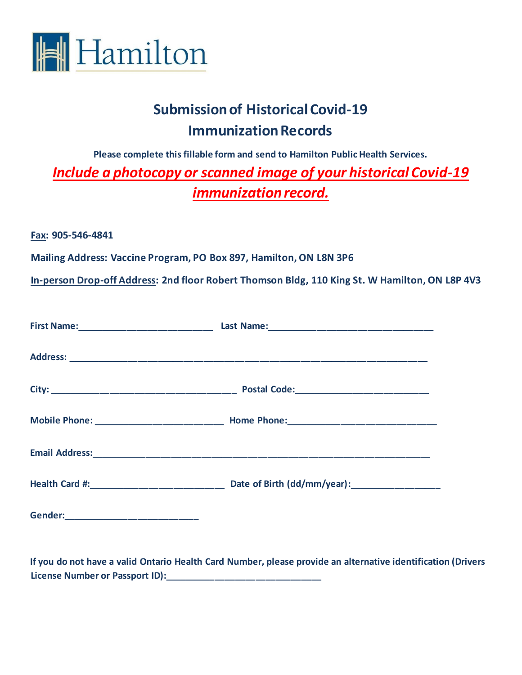

## **Submission of Historical Covid-19 Immunization Records**

**Please complete this fillable form and send to Hamilton Public Health Services.** *Include a photocopy or scanned image of your historical Covid-19 immunization record.*

**Fax: 905-546-4841**

**Mailing Address: Vaccine Program, PO Box 897, Hamilton, ON L8N 3P6**

**In-person Drop-off Address: 2nd floor Robert Thomson Bldg, 110 King St. W Hamilton, ON L8P 4V3**

| Health Card #: _________________________ | Date of Birth (dd/mm/year): _______________ |
|------------------------------------------|---------------------------------------------|
|                                          |                                             |

**If you do not have a valid Ontario Health Card Number, please provide an alternative identification (Drivers License Number or Passport ID):\_\_\_\_\_\_\_\_\_\_\_\_\_\_\_\_\_\_\_\_\_\_\_\_\_\_\_\_\_\_\_**